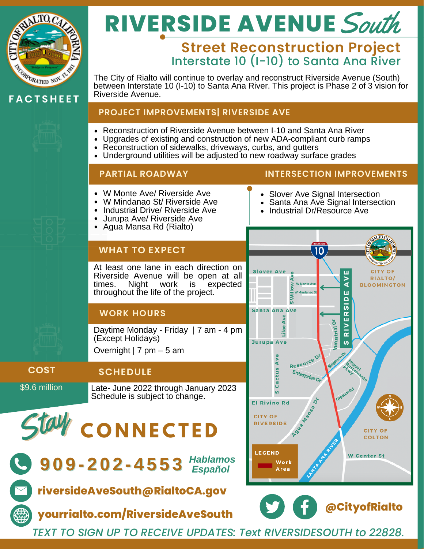

**F A C T S H E E T**

# **RIVERSIDE AVENUE** South

## **Street Reconstruction Project** Interstate 10 (I-10) to Santa Ana River

The City of Rialto will continue to overlay and reconstruct Riverside Avenue (South) between Interstate 10 (I-10) to Santa Ana River. This project is Phase 2 of 3 vision for Riverside Avenue.

#### **PROJECT IMPROVEMENTS| RIVERSIDE AVE**

- Reconstruction of Riverside Avenue between I-10 and Santa Ana River
- Upgrades of existing and construction of new ADA-compliant curb ramps
	- Reconstruction of sidewalks, driveways, curbs, and gutters
	- Underground utilities will be adjusted to new roadway surface grades

### **PARTIAL ROADWAY INTERSECTION IMPROVEMENTS**

- W Monte Ave/ Riverside Ave
- W Mindanao St/ Riverside Ave
- Industrial Drive/ Riverside Ave
- Jurupa Ave/ Riverside Ave
- Agua Mansa Rd (Rialto)

## **WHAT TO EXPECT**

At least one lane in each direction on Riverside Avenue will be open at all<br>times. Night work is expected Night work is throughout the life of the project.

## **WORK HOURS**

Daytime Monday - Friday | 7 am -4 pm (Except Holidays)

Overnight | 7 pm – 5 am

## \$9.6 million **COST**

**SCHEDULE**

Late- June 2022 through January 2023 Schedule is subject to change.

Sta **C O N N E C T E D** y



**9 0 9 - 2 0 2 - 4 5 5 3** *Hablamos Español*

**riversideAveSouth@RialtoCA.gov**

**yourrialto.com/RiversideAveSouth**

## • Slover Ave Signal Intersection

- Santa Ana Ave Signal Intersection
- Industrial Dr/Resource Ave





*TEXT TO SIGN UP TO RECEIVE UPDATES: Text RIVERSIDESOUTH to 22828.*